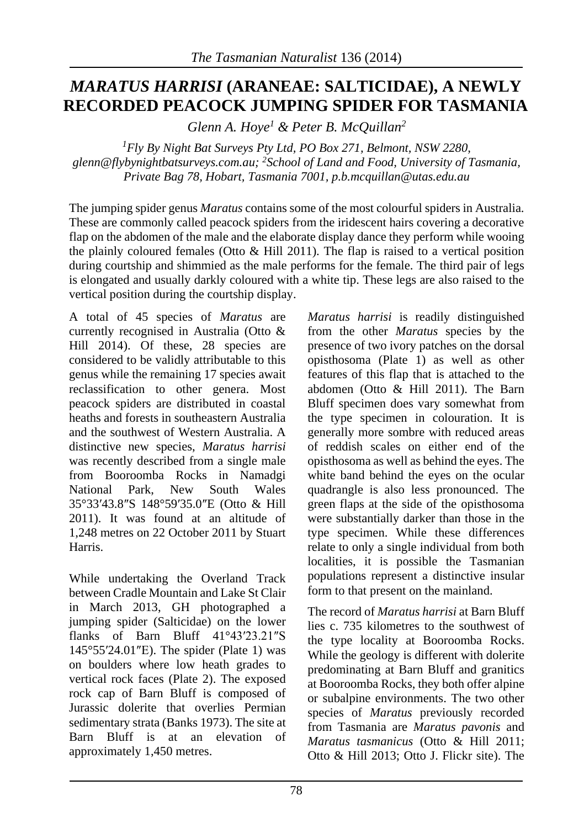## *MARATUS HARRISI* **(ARANEAE: SALTICIDAE), A NEWLY RECORDED PEACOCK JUMPING SPIDER FOR TASMANIA**

*Glenn A. Hoye<sup>1</sup> & Peter B. McQuillan<sup>2</sup>*

*<sup>1</sup>Fly By Night Bat Surveys Pty Ltd, PO Box 271, Belmont, NSW 2280, glenn@flybynightbatsurveys.com.au; <sup>2</sup>School of Land and Food, University of Tasmania, Private Bag 78, Hobart, Tasmania 7001, p.b.mcquillan@utas.edu.au*

The jumping spider genus *Maratus* contains some of the most colourful spiders in Australia. These are commonly called peacock spiders from the iridescent hairs covering a decorative flap on the abdomen of the male and the elaborate display dance they perform while wooing the plainly coloured females (Otto & Hill 2011). The flap is raised to a vertical position during courtship and shimmied as the male performs for the female. The third pair of legs is elongated and usually darkly coloured with a white tip. These legs are also raised to the vertical position during the courtship display.

A total of 45 species of *Maratus* are currently recognised in Australia (Otto & Hill 2014). Of these, 28 species are considered to be validly attributable to this genus while the remaining 17 species await reclassification to other genera. Most peacock spiders are distributed in coastal heaths and forests in southeastern Australia and the southwest of Western Australia. A distinctive new species, *Maratus harrisi* was recently described from a single male from Booroomba Rocks in Namadgi National Park, New South Wales 35°33′43.8″S 148°59′35.0″E (Otto & Hill 2011). It was found at an altitude of 1,248 metres on 22 October 2011 by Stuart Harris.

While undertaking the Overland Track between Cradle Mountain and Lake St Clair in March 2013, GH photographed a jumping spider (Salticidae) on the lower flanks of Barn Bluff 41°43′23.21″S 145°55′24.01″E). The spider (Plate 1) was on boulders where low heath grades to vertical rock faces (Plate 2). The exposed rock cap of Barn Bluff is composed of Jurassic dolerite that overlies Permian sedimentary strata (Banks 1973). The site at Barn Bluff is at an elevation of approximately 1,450 metres.

*Maratus harrisi* is readily distinguished from the other *Maratus* species by the presence of two ivory patches on the dorsal opisthosoma (Plate 1) as well as other features of this flap that is attached to the abdomen (Otto & Hill 2011). The Barn Bluff specimen does vary somewhat from the type specimen in colouration. It is generally more sombre with reduced areas of reddish scales on either end of the opisthosoma as well as behind the eyes. The white band behind the eyes on the ocular quadrangle is also less pronounced. The green flaps at the side of the opisthosoma were substantially darker than those in the type specimen. While these differences relate to only a single individual from both localities, it is possible the Tasmanian populations represent a distinctive insular form to that present on the mainland.

The record of *Maratus harrisi* at Barn Bluff lies c. 735 kilometres to the southwest of the type locality at Booroomba Rocks. While the geology is different with dolerite predominating at Barn Bluff and granitics at Booroomba Rocks, they both offer alpine or subalpine environments. The two other species of *Maratus* previously recorded from Tasmania are *Maratus pavonis* and *Maratus tasmanicus* (Otto & Hill 2011; Otto & Hill 2013; Otto J. Flickr site). The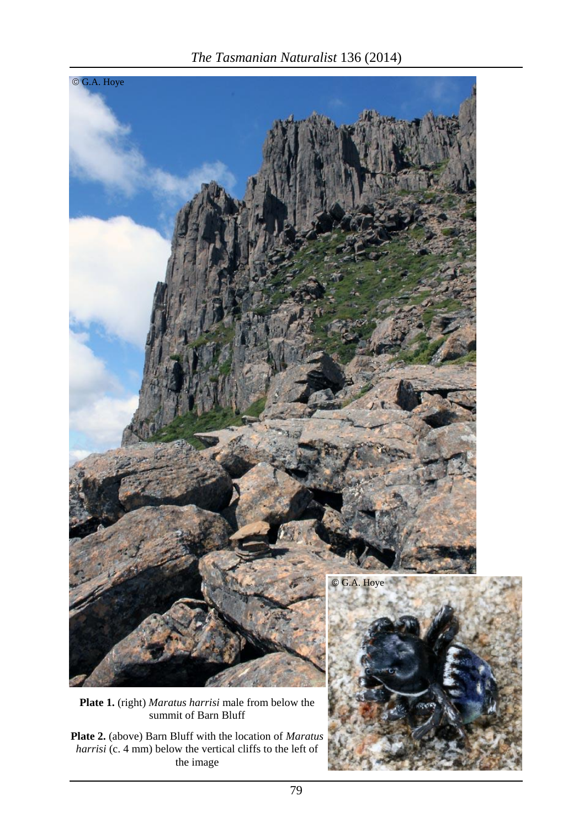

*The Tasmanian Naturalist* 136 (2014)

**Plate 2.** (above) Barn Bluff with the location of *Maratus harrisi* (c. 4 mm) below the vertical cliffs to the left of the image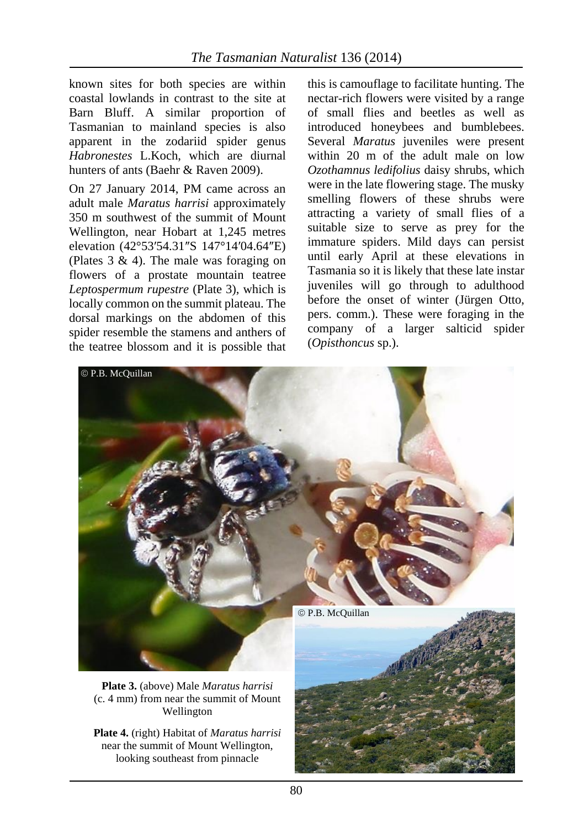known sites for both species are within coastal lowlands in contrast to the site at Barn Bluff. A similar proportion of Tasmanian to mainland species is also apparent in the zodariid spider genus *Habronestes* L.Koch, which are diurnal hunters of ants (Baehr & Raven 2009).

On 27 January 2014, PM came across an adult male *Maratus harrisi* approximately 350 m southwest of the summit of Mount Wellington, near Hobart at 1,245 metres elevation (42°53′54.31″S 147°14′04.64″E) (Plates 3 & 4). The male was foraging on flowers of a prostate mountain teatree *Leptospermum rupestre* (Plate 3), which is locally common on the summit plateau. The dorsal markings on the abdomen of this spider resemble the stamens and anthers of the teatree blossom and it is possible that

this is camouflage to facilitate hunting. The nectar-rich flowers were visited by a range of small flies and beetles as well as introduced honeybees and bumblebees. Several *Maratus* juveniles were present within 20 m of the adult male on low *Ozothamnus ledifolius* daisy shrubs, which were in the late flowering stage. The musky smelling flowers of these shrubs were attracting a variety of small flies of a suitable size to serve as prey for the immature spiders. Mild days can persist until early April at these elevations in Tasmania so it is likely that these late instar juveniles will go through to adulthood before the onset of winter (Jürgen Otto, pers. comm.). These were foraging in the company of a larger salticid spider (*Opisthoncus* sp.).



**Plate 3.** (above) Male *Maratus harrisi* (c. 4 mm) from near the summit of Mount Wellington

**Plate 4.** (right) Habitat of *Maratus harrisi* near the summit of Mount Wellington, looking southeast from pinnacle

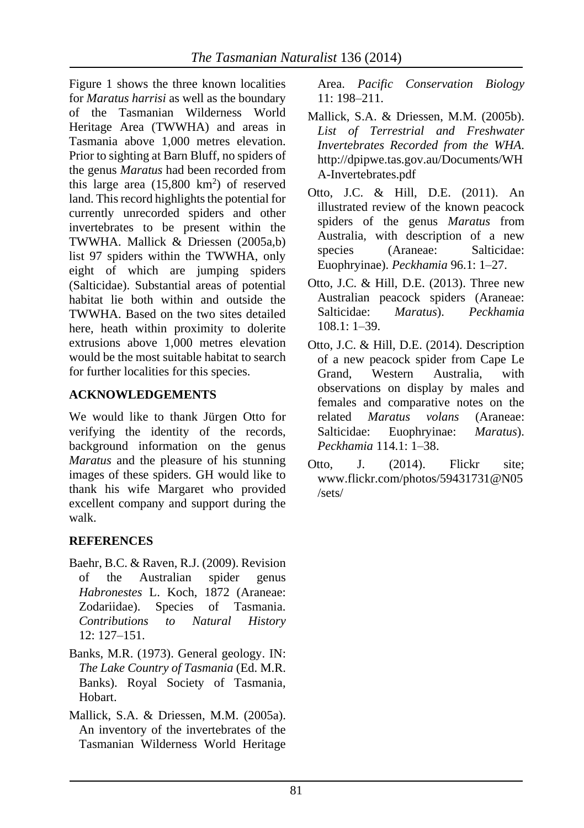Figure 1 shows the three known localities for *Maratus harrisi* as well as the boundary of the Tasmanian Wilderness World Heritage Area (TWWHA) and areas in Tasmania above 1,000 metres elevation. Prior to sighting at Barn Bluff, no spiders of the genus *Maratus* had been recorded from this large area  $(15,800 \text{ km}^2)$  of reserved land. This record highlights the potential for currently unrecorded spiders and other invertebrates to be present within the TWWHA. Mallick & Driessen (2005a,b) list 97 spiders within the TWWHA, only eight of which are jumping spiders (Salticidae). Substantial areas of potential habitat lie both within and outside the TWWHA. Based on the two sites detailed here, heath within proximity to dolerite extrusions above 1,000 metres elevation would be the most suitable habitat to search for further localities for this species.

## **ACKNOWLEDGEMENTS**

We would like to thank Jürgen Otto for verifying the identity of the records, background information on the genus *Maratus* and the pleasure of his stunning images of these spiders. GH would like to thank his wife Margaret who provided excellent company and support during the walk.

## **REFERENCES**

- Baehr, B.C. & Raven, R.J. (2009). Revision of the Australian spider genus *Habronestes* L. Koch, 1872 (Araneae: Zodariidae). Species of Tasmania. *Contributions to Natural History*  $12: 127 - 151$
- Banks, M.R. (1973). General geology. IN: *The Lake Country of Tasmania* (Ed. M.R. Banks). Royal Society of Tasmania, Hobart.
- Mallick, S.A. & Driessen, M.M. (2005a). An inventory of the invertebrates of the Tasmanian Wilderness World Heritage

Area. *Pacific Conservation Biology* 11: 198–211.

- Mallick, S.A. & Driessen, M.M. (2005b). *List of Terrestrial and Freshwater Invertebrates Recorded from the WHA*. http://dpipwe.tas.gov.au/Documents/WH A-Invertebrates.pdf
- Otto, J.C. & Hill, D.E. (2011). An illustrated review of the known peacock spiders of the genus *Maratus* from Australia, with description of a new species (Araneae: Salticidae: Euophryinae). *Peckhamia* 96.1: 1–27.
- Otto, J.C. & Hill, D.E. (2013). Three new Australian peacock spiders (Araneae: Salticidae: *Maratus*). *Peckhamia*  $108.1: 1-39.$
- Otto, J.C. & Hill, D.E. (2014). Description of a new peacock spider from Cape Le Grand, Western Australia, with observations on display by males and females and comparative notes on the related *Maratus volans* (Araneae: Salticidae: Euophryinae: *Maratus*). *Peckhamia* 114.1: 1–38.
- Otto, J. (2014). Flickr site; www.flickr.com/photos/59431731@N05 /sets/